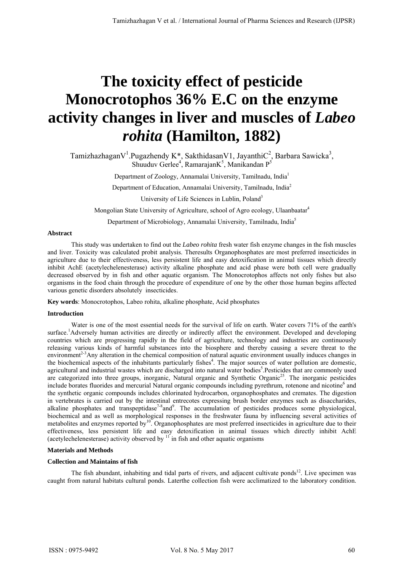# **The toxicity effect of pesticide Monocrotophos 36% E.C on the enzyme activity changes in liver and muscles of** *Labeo rohita* **(Hamilton, 1882)**

Tamizhazhagan $V^1$ . Pugazhendy K\*, Sakthidasan $V1$ , Jayanthi $C^2$ , Barbara Sawicka<sup>3</sup>, Shuuduv Gerlee<sup>4</sup>, Ramarajan $K^5$ , Manikandan P<sup>5</sup>

Department of Zoology, Annamalai University, Tamilnadu, India1

Department of Education, Annamalai University, Tamilnadu, India<sup>2</sup>

University of Life Sciences in Lublin, Poland<sup>3</sup>

Mongolian State University of Agriculture, school of Agro ecology, Ulaanbaatar4

Department of Microbiology, Annamalai University, Tamilnadu, India5

## **Abstract**

This study was undertaken to find out the *Labeo rohita* fresh water fish enzyme changes in the fish muscles and liver. Toxicity was calculated probit analysis. Theresults Organophosphates are most preferred insecticides in agriculture due to their effectiveness, less persistent life and easy detoxification in animal tissues which directly inhibit AchE (acetylechelenesterase) activity alkaline phosphate and acid phase were both cell were gradually decreased observed by in fish and other aquatic organism. The Monocrotophos affects not only fishes but also organisms in the food chain through the procedure of expenditure of one by the other those human begins affected various genetic disorders absolutely insecticides.

**Key words**: Monocrotophos, Labeo rohita, alkaline phosphate, Acid phosphates

## **Introduction**

Water is one of the most essential needs for the survival of life on earth. Water covers 71% of the earth's surface.<sup>1</sup>Adversely human activities are directly or indirectly affect the environment. Developed and developing countries which are progressing rapidly in the field of agriculture, technology and industries are continuously releasing various kinds of harmful substances into the biosphere and thereby causing a severe threat to the environment<sup>2-3</sup>Any alteration in the chemical composition of natural aquatic environment usually induces changes in the biochemical aspects of the inhabitants particularly fishes<sup>4</sup>. The major sources of water pollution are domestic, agricultural and industrial wastes which are discharged into natural water bodies<sup>5</sup>. Pesticides that are commonly used are categorized into three groups, inorganic, Natural organic and Synthetic Organic<sup>25</sup>. The inorganic pesticides include borates fluorides and mercurial Natural organic compounds including pyrethrum, rotenone and nicotine<sup>6</sup> and the synthetic organic compounds includes chlorinated hydrocarbon, organophosphates and cremates. The digestion in vertebrates is carried out by the intestinal entrecotes expressing brush border enzymes such as disaccharides, alkaline phosphates and transpeptidase<sup>7-8</sup>and<sup>9</sup>. The accumulation of pesticides produces some physiological, biochemical and as well as morphological responses in the freshwater fauna by influencing several activities of metabolites and enzymes reported by<sup>10</sup>. Organophosphates are most preferred insecticides in agriculture due to their effectiveness, less persistent life and easy detoxification in animal tissues which directly inhibit AchE (acetylechelenesterase) activity observed by  $11$  in fish and other aquatic organisms

## **Materials and Methods**

## **Collection and Maintains of fish**

The fish abundant, inhabiting and tidal parts of rivers, and adjacent cultivate ponds<sup>12</sup>. Live specimen was caught from natural habitats cultural ponds. Laterthe collection fish were acclimatized to the laboratory condition.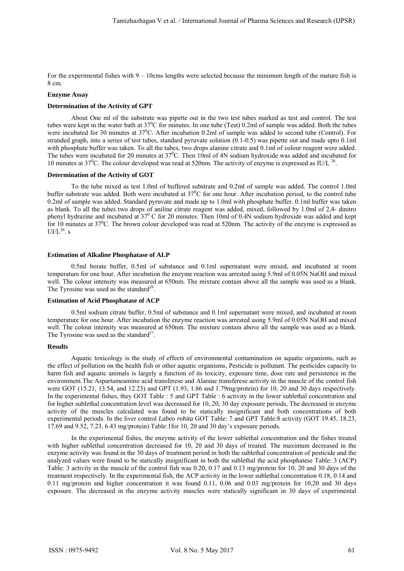For the experimental fishes with  $9 - 10$ cms lengths were selected because the minimum length of the mature fish is 8 cm.

#### **Enzyme Assay**

#### **Determination of the Activity of GPT**

About One ml of the substrate was pipette out in the two test tubes marked as test and control. The test tubes were kept in the water bath at  $37^0C$  for minutes. In one tube (Test) 0.2ml of sample was added. Both the tubes were incubated for 30 minutes at  $37^{\circ}$ C. After incubation 0.2ml of sample was added to second tube (Control). For stranded graph, into a series of test tubes, standard pyruvate solution (0.1-0.5) was pipette out and made upto 0.1ml with phosphate buffer was taken. To all the tubes, two drops alanine citrate and 0.1ml of colour reagent were added. The tubes were incubated for 20 minutes at  $37^{\circ}$ C. Then 10ml of 4N sodium hydroxide was added and incubated for 10 minutes at  $37^0$ C. The colour developed was read at 520nm. The activity of enzyme is expressed as IU/L  $^{26}$ .

#### **Determination of the Activity of GOT**

To the tube mixed as test 1.0ml of buffered substrate and 0.2ml of sample was added. The control 1.0ml buffer substrate was added. Both were incubated at  $37^0C$  for one hour. After incubation period, to the control tube 0.2ml of sample was added. Standard pyruvate and made up to 1.0ml with phosphate buffer. 0.1ml buffer was taken as blank. To all the tubes two drops of aniline citrate reagent was added, mixed, followed by 1.0ml of 2,4- dinitro phenyl hydrazine and incubated at  $37^{\circ}$  C for 20 minutes. Then 10ml of 0.4N sodium hydroxide was added and kept for 10 minutes at  $37^0$ C. The brown colour developed was read at 520nm. The activity of the enzyme is expressed as  $UI/L<sup>26</sup>$ . s

#### **Estimation of Alkaline Phosphatase of ALP**

0.5ml borate buffer, 0.5ml of substance and 0.1ml supernatant were mixed, and incubated at room temperature for one hour. After incubation the enzyme reaction was arrested using 5.9ml of 0.05N NaOH and mixed well. The colour intensity was measured at 650nm. The mixture contain above all the sample was used as a blank. The Tyrosine was used as the standard<sup>26</sup>.

## **Estimation of Acid Phosphatase of ACP**

0.5ml sodium citrate buffer, 0.5ml of substance and 0.1ml supernatant were mixed, and incubated at room temperature for one hour. After incubation the enzyme reaction was arrested using 5.9ml of 0.05N NaOH and mixed well. The colour intensity was measured at 650nm. The mixture contain above all the sample was used as a blank. The Tyrosine was used as the standard<sup>27</sup>.

#### **Results**

Aquatic toxicology is the study of effects of environmental contamination on aquatic organisms, such as the effect of pollution on the health fish or other aquatic organisms, Pesticide is pollutant. The pesticides capacity to harm fish and aquatic animals is largely a function of its toxicity, exposure time, dose rate and persistence in the environment.The Aspartameamino acid transferese and Alanine transferese activity in the muscle of the control fish were GOT (15.21, 13.54, and 12.23) and GPT (1.93, 1.86 and 1.79mg/protein) for 10, 20 and 30 days respectively. In the experimental fishes, they GOT Table : 5 and GPT Table : 6 activity in the lower sublethal concentration and for higher sublethal concentration level was decreased for 10, 20, 30 day exposure periods, The decreased in enzyme activity of the muscles calculated was found to be statically insignificant and both concentrations of both experimental periods. In the liver control *Labeo rohita* GOT Table: 7 and GPT Table:8 activity (GOT 19.45, 18.23, 17.69 and 9.52, 7.23, 6.43 mg/protein) Table:1for 10, 20 and 30 day's exposure periods.

In the experimental fishes, the enzyme activity of the lower sublethal concentration and the fishes treated with higher sublethal concentration decreased for 10, 20 and 30 days of treated. The maximum decreased in the enzyme activity was found in the 30 days of treatment period in both the sublethal concentration of pesticide and the analyzed values were found to be statically insignificant in both the sublethal the acid phosphatese Table: 3 (ACP) Table: 3 activity in the muscle of the control fish was 0.20, 0.17 and 0.13 mg/protein for 10, 20 and 30 days of the treatment respectively. In the experimental fish, the ACP activity in the lower sublethal concentration 0.18, 0.14 and 0.11 mg/protein and higher concentration it was found 0.11, 0.06 and 0.03 mg/protein for 10,20 and 30 days exposure. The decreased in the enzyme activity muscles were statically significant in 30 days of experimental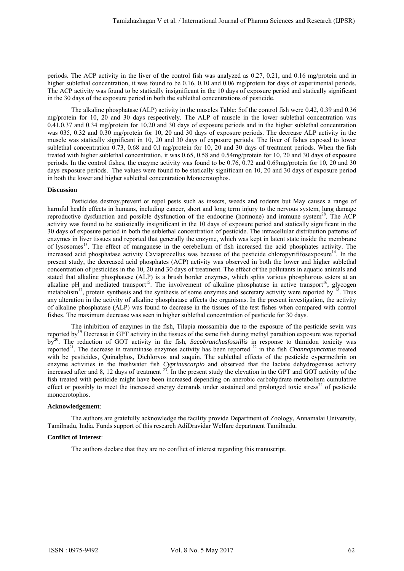periods. The ACP activity in the liver of the control fish was analyzed as 0.27, 0.21, and 0.16 mg/protein and in higher sublethal concentration, it was found to be 0.16, 0.10 and 0.06 mg/protein for days of experimental periods. The ACP activity was found to be statically insignificant in the 10 days of exposure period and statically significant in the 30 days of the exposure period in both the sublethal concentrations of pesticide.

The alkaline phosphatase (ALP) activity in the muscles Table: 5of the control fish were 0.42, 0.39 and 0.36 mg/protein for 10, 20 and 30 days respectively. The ALP of muscle in the lower sublethal concentration was 0.41,0.37 and 0.34 mg/protein for 10,20 and 30 days of exposure periods and in the higher sublethal concentration was 035, 0.32 and 0.30 mg/protein for 10, 20 and 30 days of exposure periods. The decrease ALP activity in the muscle was statically significant in 10, 20 and 30 days of exposure periods. The liver of fishes exposed to lower sublethal concentration 0.73, 0.68 and 0.1 mg/protein for 10, 20 and 30 days of treatment periods. When the fish treated with higher sublethal concentration, it was 0.65, 0.58 and 0.54mg/protein for 10, 20 and 30 days of exposure periods. In the control fishes, the enzyme activity was found to be 0.76, 0.72 and 0.69mg/protein for 10, 20 and 30 days exposure periods. The values were found to be statically significant on 10, 20 and 30 days of exposure period in both the lower and higher sublethal concentration Monocrotophos.

## **Discussion**

Pesticides destroy,prevent or repel pests such as insects, weeds and rodents but May causes a range of harmful health effects in humans, including cancer, short and long term injury to the nervous system, lung damage reproductive dysfunction and possible dysfunction of the endocrine (hormone) and immune system<sup>28</sup>. The ACP activity was found to be statistically insignificant in the 10 days of exposure period and statically significant in the 30 days of exposure period in both the sublethal concentration of pesticide. The intracellular distribution patterns of enzymes in liver tissues and reported that generally the enzyme, which was kept in latent state inside the membrane of lysosomes<sup>13</sup>. The effect of manganese in the cerebellum of fish increased the acid phosphates activity. The increased acid phosphatase activity Caviaprocellus was because of the pesticide chloropyrififosexposure<sup>14</sup>. In the present study, the decreased acid phosphates (ACP) activity was observed in both the lower and higher sublethal concentration of pesticides in the 10, 20 and 30 days of treatment. The effect of the pollutants in aquatic animals and stated that alkaline phosphatese (ALP) is a brush border enzymes, which splits various phosphorous esters at an alkaline pH and mediated transport<sup>15</sup>. The involvement of alkaline phosphatase in active transport<sup>16</sup>, glycogen metabolism<sup>17</sup>, protein synthesis and the synthesis of some enzymes and secretary activity were reported by  $18$ . Thus any alteration in the activity of alkaline phosphatase affects the organisms. In the present investigation, the activity of alkaline phosphatase (ALP) was found to decrease in the tissues of the test fishes when compared with control fishes. The maximum decrease was seen in higher sublethal concentration of pesticide for 30 days.

The inhibition of enzymes in the fish, Tilapia mossambia due to the exposure of the pesticide sevin was reported by19 Decrease in GPT activity in the tissues of the same fish during methyl parathion exposure was reported by<sup>20</sup>. The reduction of GOT activity in the fish, *Sacobranchusfossillis* in response to thimidon toxicity was reported<sup>21</sup>. The decrease in tranminase enzymes activity has been reported <sup>22</sup> in the fish *Channapunctatus* treated with be pesticides, Quinalphos, Dichlorvos and suquin. The sublethal effects of the pesticide cypermethrin on enzyme activities in the freshwater fish *Cyprinuscarpio* and observed that the lactate dehydrogenase activity increased after and 8, 12 days of treatment  $^{23}$ . In the present study the elevation in the GPT and GOT activity of the fish treated with pesticide might have been increased depending on anerobic carbohydrate metabolism cumulative effect or possibly to meet the increased energy demands under sustained and prolonged toxic stress<sup>24</sup> of pesticide monocrotophos.

## **Acknowledgement**:

The authors are gratefully acknowledge the facility provide Department of Zoology, Annamalai University, Tamilnadu, India. Funds support of this research AdiDravidar Welfare department Tamilnadu.

## **Conflict of Interest**:

The authors declare that they are no conflict of interest regarding this manuscript.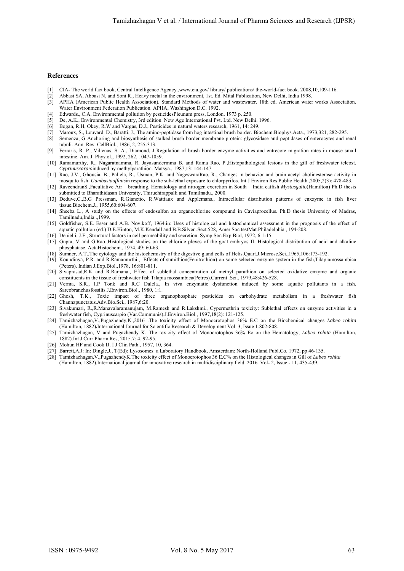#### **References** *me (8) Issue (1) February - 2015.*

- [1] CIA- The world fact book, Central Intelligence Agency.,www.cia.gov/ library/ publications/ the-world-fact book. 2008,10,109-116.
- [2] Abbasi SA, Abbasi N, and Soni R., Heavy metal in the environment, 1st. Ed. Mital Publication, New Delhi, India 1998.
- [3] APHA (American Public Health Association). Standard Methods of water and wastewater. 18th ed. American water works Association, Water Environment Federation Publication. APHA, Washington D.C. 1992.
- [4] Edwards., C.A. Environmental pollution by pesticidesPleunum press, London. 1973 p. 250.
- [5] De, A.K., Environmental Chemistry, 3rd edition. New Age International Pvt. Ltd. New Delhi. 1996.
- [6] Bogan, R.H, Okey, R.W and Vargas, D.J., Pesticides in natural waters research, 1961, 14: 249.
- [7] Maroux, S., Louvard. D., Baratti. J., The amino-peptidase from hog intestinal brush border. Biochem.Biophys.Acta., 1973,321, 282-295.
- [8] Semenza, G Anchoring and biosynthesis of stalked brush border membrane protein: glycosidase and peptidases of enterocytes and renal tubuli. Ann. Rev. CellBiol., 1986, 2, 255-313.
- [9] Ferraris, R. P., Villenas, S. A., Diamond, J Regulation of brush border enzyme activities and entrecote migration rates in mouse small intestine. Am. J. Physiol., 1992, 262, 1047-1059.
- [10] Ramamurthy, R., Nagaratnamma, R. Jayasundermma B. and Rama Rao, P.,Histopathological lesions in the gill of freshwater teleost, *Cyprinuscarpio*induced by methylparathion. Matsya., 1987,13: 144-147.
- [11] Rao, J.V., Ghousia, B., Pallela, R., Usman, P.K. and NageswaraRao, R., Changes in behavior and brain acetyl cholinesterase activity in mosquito fish*, Gambusiaaffinis*in response to the sub-lethal exposure to chlorpyrifos. Int J Environ Res Public Health.,2005,2(3): 478-483.
- [12] RaveendranS.,Facultative Air breathing, Hematology and nitrogen excretion in South India catfish *Mystusgulio*(Hamilton) Ph.D thesis submitted to Bharathidasan University, Thiruchirappalli and Tamilnadu., 2000.
- [13] Deduve,C.,B.G Pressman, R.Gianetto, R.Wattiaux and Applemans., Intracellular distribution patterns of enxzyme in fish liver tissue.Biochem.J., 1955,60:604-607.
- [14] Sheeba L., A study on the effects of endosulfon an organochlorine compound in Caviaprocellus. Ph.D thesis University of Madras, Tamilnadu,India .,1999.
- [15] Goldfisher, S.E. Esser and A.B. Novikoff, 1964.in: Uses of histological and histochemical assessment in the prognosis of the effect of aquatic pollution (ed.) D.E.Hinton, M.K.Kendall and B.B.Silver .Sect.528, Amer.Soc.testMat.Philadelphia., 194-208.
- [16] Denielli, J.F., Structural factors in cell permeability and secretion. Symp.Soc.Exp.Biol, 1972, 6:1-15. [17] Gupta, V and G.Rao.,Histological studies on the chloride plexes of the goat embryos II. Histological distribution of acid and alkaline phosphatase. ActaHistochem., 1974, 49: 60-63.
- [18] Sumner, A.T.,The cytology and the histochemistry of the digestive gland cells of Helis.Quart.J.Microsc.Sci.,1965,106:173-192.
- [19] Koundinya, P.R. and R.Ramamurthi., Effects of sumithion(Fenitrothion) on some selected enzyme system in the fish,Tilapiamossambica (Peters). Indian J.Exp.Biol.,1978, 16:801-811.
- [20] Sivaprasad,R.K and R.Ramana., Effect of sublethal concentration of methyl parathion on selected oxidative enzyme and organic constituents in the tissue of freshwater fish Tilapia mossambica(Petres).Current .Sci., 1979,48:426-528.
- [21] Verma, S.R., I.P Tonk and R.C Dalela., In viva enzymatic dysfunction induced by some aquatic pollutants in a fish, Sarcobranchusfossilis.J.Environ.Biol., 1980, 1:1.
- [22] Ghosh, T.K., Toxic impact of three organophosphate pesticides on carbohydrate metabolism in a freshwater fish Channapunctatus.Adv.Bio.Sci., 1987,6:20.
- [23] Sivakumari, R.,R.Manavalaramanujam, M.Ramesh and R.Lakshmi., Cypermethrin toxicity: Sublethal effects on enzyme activities in a freshwater fish, Cyprinuscarpio (Var.Communis).J.Environ.Biol., 1997,18(2): 121-125.
- [24] Tamizhazhagan,V.,Pugazhendy,K.,2016 .The toxicity effect of Monocrotophos 36% E.C on the Biochemical changes *Labeo rohita* (Hamilton, 1882)**.**International Journal for Scientific Research & Development Vol. 3, Issue 1.802-808.
- [25] Tamizhazhagan, V and Pugazhendy K. The toxicity effect of Monocrotophos 36% Ec on the Hematology, *Labeo rohita* (Hamilton, 1882).Int J Curr Pharm Res, 2015.7: 4, 92-95.
- [26] Mohun HF and Cook IJ. I J Clin Path., 1957, 10, 364.
- [27] Barrett,A.J: In: Dingle,J., T(Ed): Lysosomes: a Laboratory Handbook, Amsterdam: North-Holland Publ.Co. 1972, pp.46-135.
- [28] Tamizhazhagan,V.,PugazhendyK.The toxicity effect of Monocrotophos 36 E.C% on the Histological changes in Gill of *Labeo rohita*  (Hamilton, 1882).International journal for innovative research in multidisciplinary field. 2016. Vol- 2, Issue - 11,.435-439.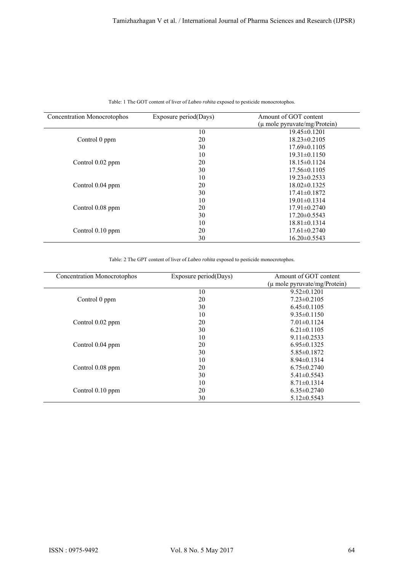| Concentration Monocrotophos | Exposure period(Days) | Amount of GOT content            |
|-----------------------------|-----------------------|----------------------------------|
|                             |                       | $(\mu$ mole pyruvate/mg/Protein) |
|                             | 10                    | $19.45 \pm 0.1201$               |
| Control 0 ppm               | 20                    | $18.23 \pm 0.2105$               |
|                             | 30                    | $17.69\pm 0.1105$                |
|                             | 10                    | $19.31 \pm 0.1150$               |
| Control 0.02 ppm            | 20                    | $18.15\pm0.1124$                 |
|                             | 30                    | $17.56 \pm 0.1105$               |
|                             | 10                    | $19.23 \pm 0.2533$               |
| Control 0.04 ppm            | 20                    | $18.02\pm 0.1325$                |
|                             | 30                    | $17.41 \pm 0.1872$               |
| Control 0.08 ppm            | 10                    | $19.01 \pm 0.1314$               |
|                             | 20                    | $17.91 \pm 0.2740$               |
|                             | 30                    | $17.20 \pm 0.5543$               |
| Control 0.10 ppm            | 10                    | $18.81 \pm 0.1314$               |
|                             | 20                    | $17.61 \pm 0.2740$               |
|                             | 30                    | $16.20 \pm 0.5543$               |

|  | Table: 1 The GOT content of liver of <i>Labeo rohita</i> exposed to pesticide monocrotophos. |  |  |  |
|--|----------------------------------------------------------------------------------------------|--|--|--|
|  |                                                                                              |  |  |  |

Table: 2 The GPT content of liver of *Labeo rohita* exposed to pesticide monocrotophos.

| Concentration Monocrotophos | Exposure period(Days) | Amount of GOT content        |
|-----------------------------|-----------------------|------------------------------|
|                             |                       | (μ mole pyruvate/mg/Protein) |
|                             | 10                    | $9.52 \pm 0.1201$            |
| Control 0 ppm               | 20                    | $7.23 \pm 0.2105$            |
|                             | 30                    | $6.45 \pm 0.1105$            |
|                             | 10                    | $9.35 \pm 0.1150$            |
| Control 0.02 ppm            | 20                    | $7.01 \pm 0.1124$            |
|                             | 30                    | $6.21 \pm 0.1105$            |
|                             | 10                    | $9.11 \pm 0.2533$            |
| Control 0.04 ppm            | 20                    | $6.95 \pm 0.1325$            |
|                             | 30                    | $5.85 \pm 0.1872$            |
|                             | 10                    | $8.94 \pm 0.1314$            |
| Control 0.08 ppm            | 20                    | $6.75 \pm 0.2740$            |
|                             | 30                    | $5.41 \pm 0.5543$            |
|                             | 10                    | $8.71 \pm 0.1314$            |
| Control 0.10 ppm            | 20                    | $6.35 \pm 0.2740$            |
|                             | 30                    | $5.12 \pm 0.5543$            |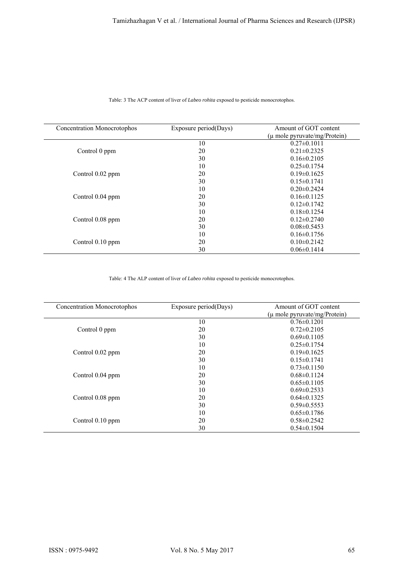| <b>Concentration Monocrotophos</b> | Exposure period(Days) | Amount of GOT content<br>$(\mu$ mole pyruvate/mg/Protein) |
|------------------------------------|-----------------------|-----------------------------------------------------------|
|                                    | 10                    | $0.27 \pm 0.1011$                                         |
| Control 0 ppm                      | 20                    | $0.21 \pm 0.2325$                                         |
|                                    | 30                    | $0.16 \pm 0.2105$                                         |
|                                    | 10                    | $0.25 \pm 0.1754$                                         |
| Control 0.02 ppm                   | 20                    | $0.19\pm0.1625$                                           |
|                                    | 30                    | $0.15 \pm 0.1741$                                         |
|                                    | 10                    | $0.20 \pm 0.2424$                                         |
| Control 0.04 ppm                   | 20                    | $0.16\pm0.1125$                                           |
|                                    | 30                    | $0.12\pm 0.1742$                                          |
|                                    | 10                    | $0.18\pm0.1254$                                           |
| Control 0.08 ppm                   | 20                    | $0.12 \pm 0.2740$                                         |
|                                    | 30                    | $0.08 \pm 0.5453$                                         |
|                                    | 10                    | $0.16 \pm 0.1756$                                         |
| Control 0.10 ppm                   | 20                    | $0.10 \pm 0.2142$                                         |
|                                    | 30                    | $0.06 \pm 0.1414$                                         |

Table: 3 The ACP content of liver of *Labeo rohita* exposed to pesticide monocrotophos.

# Table: 4 The ALP content of liver of *Labeo rohita* exposed to pesticide monocrotophos.

| Concentration Monocrotophos | Exposure period(Days) | Amount of GOT content            |
|-----------------------------|-----------------------|----------------------------------|
|                             |                       | $(\mu$ mole pyruvate/mg/Protein) |
|                             | 10                    | $0.76 \pm 0.1201$                |
| Control 0 ppm               | 20                    | $0.72 \pm 0.2105$                |
|                             | 30                    | $0.69 \pm 0.1105$                |
|                             | 10                    | $0.25 \pm 0.1754$                |
| Control 0.02 ppm            | 20                    | $0.19 \pm 0.1625$                |
|                             | 30                    | $0.15 \pm 0.1741$                |
|                             | 10                    | $0.73 \pm 0.1150$                |
| Control 0.04 ppm            | 20                    | $0.68 \pm 0.1124$                |
|                             | 30                    | $0.65 \pm 0.1105$                |
|                             | 10                    | $0.69 \pm 0.2533$                |
| Control 0.08 ppm            | 20                    | $0.64 \pm 0.1325$                |
|                             | 30                    | $0.59 \pm 0.5553$                |
|                             | 10                    | $0.65 \pm 0.1786$                |
| Control 0.10 ppm            | 20                    | $0.58 \pm 0.2542$                |
|                             | 30                    | $0.54 \pm 0.1504$                |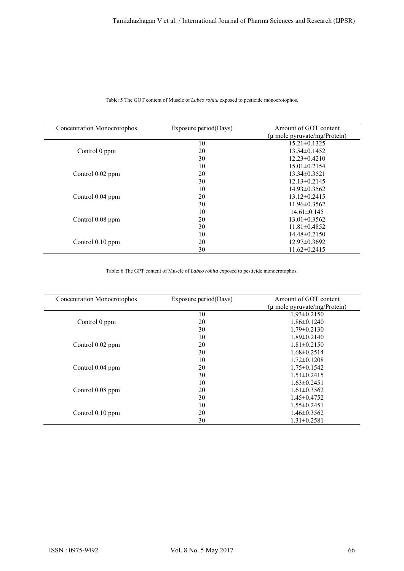| Concentration Monocrotophos | Exposure period(Days) | Amount of GOT content<br>$(\mu$ mole pyruvate/mg/Protein) |
|-----------------------------|-----------------------|-----------------------------------------------------------|
|                             | 10                    | $15.21 \pm 0.1325$                                        |
| Control 0 ppm               | 20                    | $13.54\pm 0.1452$                                         |
|                             | 30                    | $12.23 \pm 0.4210$                                        |
|                             | 10                    | $15.01 \pm 0.2154$                                        |
| Control 0.02 ppm            | 20                    | $13.34\pm 0.3521$                                         |
|                             | 30                    | $12.13\pm 0.2145$                                         |
|                             | 10                    | $14.93\pm 0.3562$                                         |
| Control 0.04 ppm            | 20                    | $13.12\pm 0.2415$                                         |
|                             | 30                    | $11.96 \pm 0.3562$                                        |
|                             | 10                    | $14.61 \pm 0.145$                                         |
| Control 0.08 ppm            | 20                    | $13.01 \pm 0.3562$                                        |
|                             | 30                    | $11.81 \pm 0.4852$                                        |
|                             | 10                    | $14.48 \pm 0.2150$                                        |
| Control 0.10 ppm            | 20                    | $12.97\pm0.3692$                                          |
|                             | 30                    | $11.62 \pm 0.2415$                                        |

Table: 5 The GOT content of Muscle of *Labeo rohita* exposed to pesticide monocrotophos.

Table: 6 The GPT content of Muscle of *Labeo rohita* exposed to pesticide monocrotophos.

| Concentration Monocrotophos | Exposure period(Days) | Amount of GOT content            |
|-----------------------------|-----------------------|----------------------------------|
|                             |                       | $(\mu$ mole pyruvate/mg/Protein) |
|                             | 10                    | $1.93 \pm 0.2150$                |
| Control 0 ppm               | 20                    | $1.86 \pm 0.1240$                |
|                             | 30                    | $1.79 \pm 0.2130$                |
|                             | 10                    | $1.89 \pm 0.2140$                |
| Control $0.02$ ppm          | 20                    | $1.81 \pm 0.2150$                |
|                             | 30                    | $1.68 \pm 0.2514$                |
|                             | 10                    | $1.72 \pm 0.1208$                |
| Control 0.04 ppm            | 20                    | $1.75 \pm 0.1542$                |
|                             | 30                    | $1.51 \pm 0.2415$                |
|                             | 10                    | $1.63 \pm 0.2451$                |
| Control 0.08 ppm            | 20                    | $1.61 \pm 0.3562$                |
|                             | 30                    | $1.45 \pm 0.4752$                |
|                             | 10                    | $1.55 \pm 0.2451$                |
| Control $0.10$ ppm          | 20                    | $1.46 \pm 0.3562$                |
|                             | 30                    | $1.31 \pm 0.2581$                |